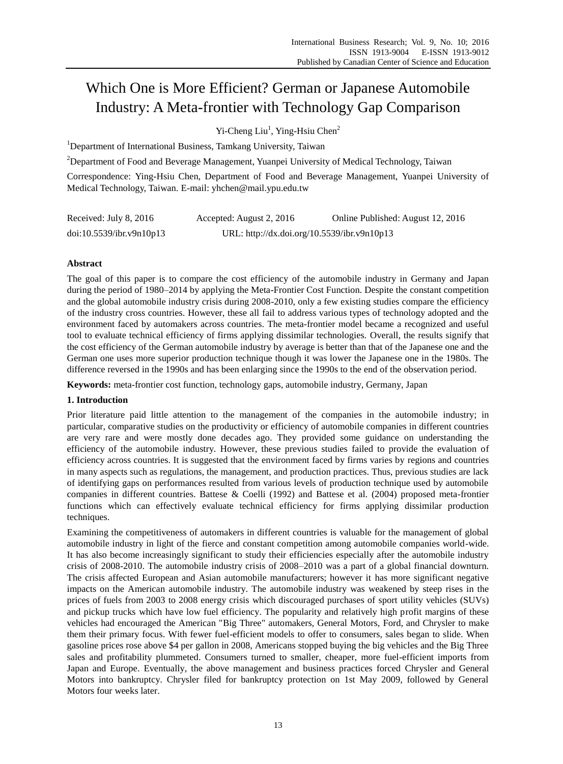# Which One is More Efficient? German or Japanese Automobile Industry: A Meta-frontier with Technology Gap Comparison

Yi-Cheng Liu<sup>1</sup>, Ying-Hsiu Chen<sup>2</sup>

<sup>1</sup>Department of International Business, Tamkang University, Taiwan

<sup>2</sup>Department of Food and Beverage Management, Yuanpei University of Medical Technology, Taiwan

Correspondence: Ying-Hsiu Chen, Department of Food and Beverage Management, Yuanpei University of Medical Technology, Taiwan. E-mail: yhchen@mail.ypu.edu.tw

| Received: July 8, 2016   | Accepted: August 2, 2016                    | Online Published: August 12, 2016 |
|--------------------------|---------------------------------------------|-----------------------------------|
| doi:10.5539/ibr.v9n10p13 | URL: http://dx.doi.org/10.5539/ibr.v9n10p13 |                                   |

# **Abstract**

The goal of this paper is to compare the cost efficiency of the automobile industry in Germany and Japan during the period of 1980–2014 by applying the Meta-Frontier Cost Function. Despite the constant competition and the global automobile industry crisis during 2008-2010, only a few existing studies compare the efficiency of the industry cross countries. However, these all fail to address various types of technology adopted and the environment faced by automakers across countries. The meta-frontier model became a recognized and useful tool to evaluate technical efficiency of firms applying dissimilar technologies. Overall, the results signify that the cost efficiency of the German automobile industry by average is better than that of the Japanese one and the German one uses more superior production technique though it was lower the Japanese one in the 1980s. The difference reversed in the 1990s and has been enlarging since the 1990s to the end of the observation period.

**Keywords:** meta-frontier cost function, technology gaps, automobile industry, Germany, Japan

# **1. Introduction**

Prior literature paid little attention to the management of the companies in the automobile industry; in particular, comparative studies on the productivity or efficiency of automobile companies in different countries are very rare and were mostly done decades ago. They provided some guidance on understanding the efficiency of the automobile industry. However, these previous studies failed to provide the evaluation of efficiency across countries. It is suggested that the environment faced by firms varies by regions and countries in many aspects such as regulations, the management, and production practices. Thus, previous studies are lack of identifying gaps on performances resulted from various levels of production technique used by automobile companies in different countries. Battese & Coelli (1992) and Battese et al. (2004) proposed meta-frontier functions which can effectively evaluate technical efficiency for firms applying dissimilar production techniques.

Examining the competitiveness of automakers in different countries is valuable for the management of global automobile industry in light of the fierce and constant competition among automobile companies world-wide. It has also become increasingly significant to study their efficiencies especially after the automobile industry crisis of 2008-2010. The automobile industry crisis of 2008–2010 was a part of a global financial downturn. The crisis affected European and Asian automobile manufacturers; however it has more significant negative impacts on the American [automobile industry.](https://en.wikipedia.org/wiki/Automotive_industry) The automobile industry was weakened by steep rises in the prices of [fuels](https://en.wikipedia.org/wiki/Automotive_fuel) from [2003 to 2008 energy crisis](https://en.wikipedia.org/wiki/2000s_energy_crisis) which discouraged purchases of [sport utility vehicles](https://en.wikipedia.org/wiki/Sport_utility_vehicles) (SUVs) and [pickup trucks](https://en.wikipedia.org/wiki/Pickup_truck) which have low fuel efficiency. The popularity and relatively high profit margins of these vehicles had encouraged the American ["Big Three"](https://en.wikipedia.org/wiki/Big_Three_automobile_manufacturers#United_States_and_Canada) automakers, [General Motors,](https://en.wikipedia.org/wiki/General_Motors) [Ford,](https://en.wikipedia.org/wiki/Ford) and [Chrysler](https://en.wikipedia.org/wiki/Chrysler) to make them their primary focus. With fewer fuel-efficient models to offer to consumers, sales began to slide. When gasoline prices rose above \$4 per gallon in 2008, Americans stopped buying the big vehicles and the Big Three sales and profitability plummeted. Consumers turned to smaller, cheaper, more fuel-efficient imports from [Japan](https://en.wikipedia.org/wiki/Japan) and [Europe.](https://en.wikipedia.org/wiki/Europe) Eventually, the above management and business practices forced Chrysler and General Motors into bankruptcy. Chrysler filed for bankruptcy protection on 1st May 2009, followed by General Motors four weeks later.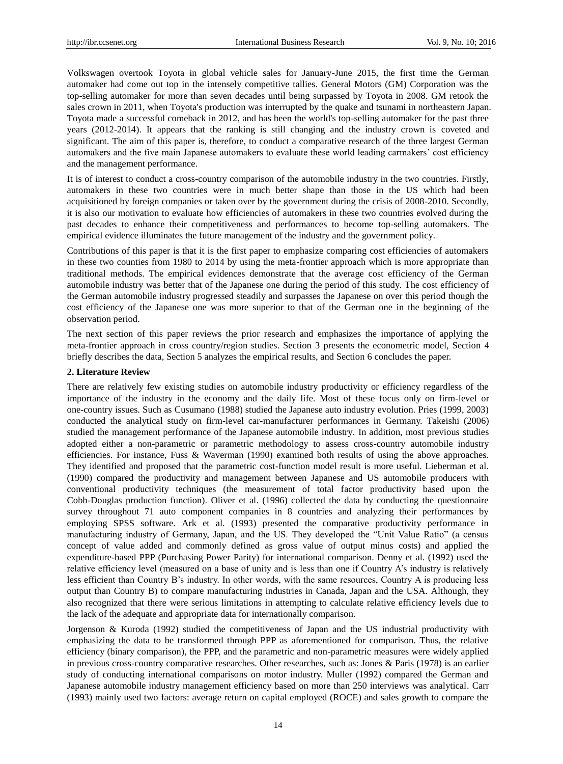Volkswagen overtook Toyota in global vehicle sales for January-June 2015, the first time the German automaker had come out top in the intensely competitive tallies. General Motors (GM) Corporation was the top-selling automaker for more than seven decades until being surpassed by Toyota in 2008. GM retook the sales crown in 2011, when Toyota's production was interrupted by the quake and tsunami in northeastern Japan. Toyota made a successful comeback in 2012, and has been the world's top-selling automaker for the past three years (2012-2014). It appears that the ranking is still changing and the industry crown is coveted and significant. The aim of this paper is, therefore, to conduct a comparative research of the three largest German automakers and the five main Japanese automakers to evaluate these world leading carmakers" cost efficiency and the management performance.

It is of interest to conduct a cross-country comparison of the automobile industry in the two countries. Firstly, automakers in these two countries were in much better shape than those in the US which had been acquisitioned by foreign companies or taken over by the government during the crisis of 2008-2010. Secondly, it is also our motivation to evaluate how efficiencies of automakers in these two countries evolved during the past decades to enhance their competitiveness and performances to become top-selling automakers. The empirical evidence illuminates the future management of the industry and the government policy.

Contributions of this paper is that it is the first paper to emphasize comparing cost efficiencies of automakers in these two counties from 1980 to 2014 by using the meta-frontier approach which is more appropriate than traditional methods. The empirical evidences demonstrate that the average cost efficiency of the German automobile industry was better that of the Japanese one during the period of this study. The cost efficiency of the German automobile industry progressed steadily and surpasses the Japanese on over this period though the cost efficiency of the Japanese one was more superior to that of the German one in the beginning of the observation period.

The next section of this paper reviews the prior research and emphasizes the importance of applying the meta-frontier approach in cross country/region studies. Section 3 presents the econometric model, Section 4 briefly describes the data, Section 5 analyzes the empirical results, and Section 6 concludes the paper.

#### **2. Literature Review**

There are relatively few existing studies on automobile industry productivity or efficiency regardless of the importance of the industry in the economy and the daily life. Most of these focus only on firm-level or one-country issues. Such as Cusumano (1988) studied the Japanese auto industry evolution. Pries (1999, 2003) conducted the analytical study on firm-level car-manufacturer performances in Germany. Takeishi (2006) studied the management performance of the Japanese automobile industry. In addition, most previous studies adopted either a non-parametric or parametric methodology to assess cross-country automobile industry efficiencies. For instance, Fuss & Waverman (1990) examined both results of using the above approaches. They identified and proposed that the parametric cost-function model result is more useful. Lieberman et al*.* (1990) compared the productivity and management between Japanese and US automobile producers with conventional productivity techniques (the measurement of total factor productivity based upon the Cobb-Douglas production function). Oliver et al. (1996) collected the data by conducting the questionnaire survey throughout 71 auto component companies in 8 countries and analyzing their performances by employing SPSS software. Ark et al. (1993) presented the comparative productivity performance in manufacturing industry of Germany, Japan, and the US. They developed the "Unit Value Ratio" (a census concept of value added and commonly defined as gross value of output minus costs) and applied the expenditure-based PPP (Purchasing Power Parity) for international comparison. Denny et al. (1992) used the relative efficiency level (measured on a base of unity and is less than one if Country A"s industry is relatively less efficient than Country B"s industry. In other words, with the same resources, Country A is producing less output than Country B) to compare manufacturing industries in Canada, Japan and the USA. Although, they also recognized that there were serious limitations in attempting to calculate relative efficiency levels due to the lack of the adequate and appropriate data for internationally comparison.

Jorgenson & Kuroda (1992) studied the competitiveness of Japan and the US industrial productivity with emphasizing the data to be transformed through PPP as aforementioned for comparison. Thus, the relative efficiency (binary comparison), the PPP, and the parametric and non-parametric measures were widely applied in previous cross-country comparative researches. Other researches, such as: Jones & Paris (1978) is an earlier study of conducting international comparisons on motor industry. Muller (1992) compared the German and Japanese automobile industry management efficiency based on more than 250 interviews was analytical. Carr (1993) mainly used two factors: average return on capital employed (ROCE) and sales growth to compare the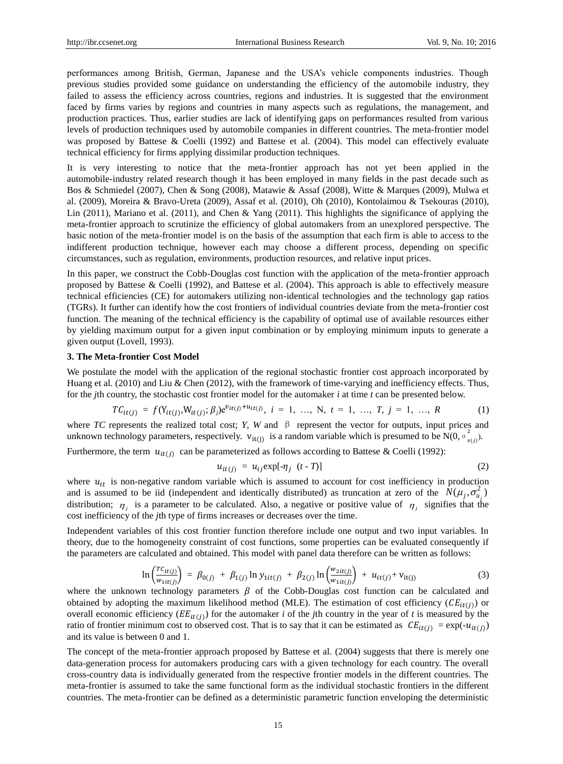performances among British, German, Japanese and the USA"s vehicle components industries. Though previous studies provided some guidance on understanding the efficiency of the automobile industry, they failed to assess the efficiency across countries, regions and industries. It is suggested that the environment faced by firms varies by regions and countries in many aspects such as regulations, the management, and production practices. Thus, earlier studies are lack of identifying gaps on performances resulted from various levels of production techniques used by automobile companies in different countries. The meta-frontier model was proposed by Battese & Coelli (1992) and Battese et al. (2004). This model can effectively evaluate technical efficiency for firms applying dissimilar production techniques.

It is very interesting to notice that the meta-frontier approach has not yet been applied in the automobile-industry related research though it has been employed in many fields in the past decade such as Bos & Schmiedel (2007), Chen & Song (2008), Matawie & Assaf (2008), Witte & Marques (2009), Mulwa et al. (2009), Moreira & Bravo-Ureta (2009), Assaf et al. (2010), Oh (2010), Kontolaimou & Tsekouras (2010), Lin (2011), Mariano et al. (2011), and Chen & Yang (2011). This highlights the significance of applying the meta-frontier approach to scrutinize the efficiency of global automakers from an unexplored perspective. The basic notion of the meta-frontier model is on the basis of the assumption that each firm is able to access to the indifferent production technique, however each may choose a different process, depending on specific circumstances, such as regulation, environments, production resources, and relative input prices.

In this paper, we construct the Cobb-Douglas cost function with the application of the meta-frontier approach proposed by Battese & Coelli (1992), and Battese et al. (2004). This approach is able to effectively measure technical efficiencies (CE) for automakers utilizing non-identical technologies and the technology gap ratios (TGRs). It further can identify how the cost frontiers of individual countries deviate from the meta-frontier cost function. The meaning of the technical efficiency is the capability of optimal use of available resources either by yielding maximum output for a given input combination or by employing minimum inputs to generate a given output (Lovell, 1993).

#### **3. The Meta-frontier Cost Model**

We postulate the model with the application of the regional stochastic frontier cost approach incorporated by Huang et al. (2010) and Liu & Chen (2012), with the framework of time-varying and inefficiency effects. Thus, for the *j*th country, the stochastic cost frontier model for the automaker *i* at time *t* can be presented below.

$$
TC_{it(j)} = f(Y_{it(j)}, W_{it(j)}; \beta_j) e^{v_{it(j)} + u_{it(j)}}, \quad i = 1, ..., N, \quad t = 1, ..., T, \quad j = 1, ..., R
$$
 (1)

where *TC* represents the realized total cost; *Y*, *W* and  $\beta$  represent the vector for outputs, input prices and unknown technology parameters, respectively.  $v_{it(j)}$  is a random variable which is presumed to be N(0,  $\sigma_{v(j)}^2$ ).

Furthermore, the term  $u_{it(j)}$  can be parameterized as follows according to Battese & Coelli (1992):

$$
u_{it(j)} = u_{ij} \exp[-\eta_j \ (t - T)] \tag{2}
$$

where  $u_{it}$  is non-negative random variable which is assumed to account for cost inefficiency in production and is assumed to be iid (independent and identically distributed) as truncation at zero of the  $N(\mu_j, \sigma_{u_j}^2)$ distribution;  $\eta_j$  is a parameter to be calculated. Also, a negative or positive value of  $\eta_j$  signifies that the cost inefficiency of the *j*th type of firms increases or decreases over the time.

Independent variables of this cost frontier function therefore include one output and two input variables. In theory, due to the homogeneity constraint of cost functions, some properties can be evaluated consequently if the parameters are calculated and obtained. This model with panel data therefore can be written as follows:

$$
\ln\left(\frac{TC_{it(j)}}{w_{\text{1it}(j)}}\right) = \beta_{0(j)} + \beta_{1(j)} \ln y_{\text{1it}(j)} + \beta_{2(j)} \ln\left(\frac{w_{\text{2it}(j)}}{w_{\text{1it}(j)}}\right) + u_{it(j)} + v_{\text{it}(j)}
$$
(3)

where the unknown technology parameters  $\beta$  of the Cobb-Douglas cost function can be calculated and obtained by adopting the maximum likelihood method (MLE). The estimation of cost efficiency  $(CE_{it(j)})$  or overall economic efficiency  $(EE_{it(j)})$  for the automaker *i* of the *j*th country in the year of *t* is measured by the ratio of frontier minimum cost to observed cost. That is to say that it can be estimated as  $CE_{it(j)} = \exp(-u_{it(j)})$ and its value is between 0 and 1.

The concept of the meta-frontier approach proposed by Battese et al*.* (2004) suggests that there is merely one data-generation process for automakers producing cars with a given technology for each country. The overall cross-country data is individually generated from the respective frontier models in the different countries. The meta-frontier is assumed to take the same functional form as the individual stochastic frontiers in the different countries. The meta-frontier can be defined as a deterministic parametric function enveloping the deterministic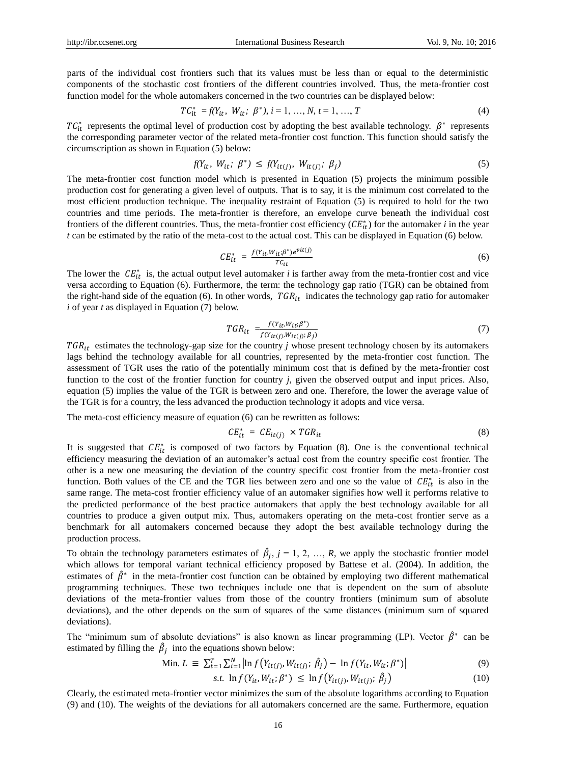parts of the individual cost frontiers such that its values must be less than or equal to the deterministic components of the stochastic cost frontiers of the different countries involved. Thus, the meta-frontier cost function model for the whole automakers concerned in the two countries can be displayed below:

$$
TC_{it}^* = f(Y_{it}, W_{it}; \beta^*), i = 1, ..., N, t = 1, ..., T
$$
\n(4)

TC<sub>it</sub> represents the optimal level of production cost by adopting the best available technology.  $\beta^*$  represents the corresponding parameter vector of the related meta-frontier cost function. This function should satisfy the circumscription as shown in Equation (5) below:

$$
f(Y_{it}, W_{it}; \beta^*) \le f(Y_{it(j)}, W_{it(j)}; \beta_j)
$$
\n
$$
(5)
$$

The meta-frontier cost function model which is presented in Equation (5) projects the minimum possible production cost for generating a given level of outputs. That is to say, it is the minimum cost correlated to the most efficient production technique. The inequality restraint of Equation (5) is required to hold for the two countries and time periods. The meta-frontier is therefore, an envelope curve beneath the individual cost frontiers of the different countries. Thus, the meta-frontier cost efficiency  $(CE^*_{it})$  for the automaker *i* in the year *t* can be estimated by the ratio of the meta-cost to the actual cost. This can be displayed in Equation (6) below.

$$
CE_{it}^{*} = \frac{f(Y_{it}, W_{it}; \beta^{*}) e^{vit(j)}}{TC_{it}} \tag{6}
$$

The lower the  $CE_{it}^{*}$  is, the actual output level automaker *i* is farther away from the meta-frontier cost and vice versa according to Equation (6). Furthermore, the term: the technology gap ratio (TGR) can be obtained from the right-hand side of the equation (6). In other words,  $TGR_{it}$  indicates the technology gap ratio for automaker *i* of year *t* as displayed in Equation (7) below.

$$
TGR_{it} = \frac{f(Y_{it}, W_{it}; \beta^*)}{f(Y_{it(j)}, W_{it(j)}; \beta_j)}
$$
(7)

 $TGR_{it}$  estimates the technology-gap size for the country *j* whose present technology chosen by its automakers lags behind the technology available for all countries, represented by the meta-frontier cost function. The assessment of TGR uses the ratio of the potentially minimum cost that is defined by the meta-frontier cost function to the cost of the frontier function for country *j*, given the observed output and input prices. Also, equation (5) implies the value of the TGR is between zero and one. Therefore, the lower the average value of the TGR is for a country, the less advanced the production technology it adopts and vice versa.

The meta-cost efficiency measure of equation (6) can be rewritten as follows:

$$
CE_{it}^{*} = CE_{it(j)} \times TGR_{it}
$$
\n(8)

It is suggested that  $CE_{it}^{*}$  is composed of two factors by Equation (8). One is the conventional technical efficiency measuring the deviation of an automaker's actual cost from the country specific cost frontier. The other is a new one measuring the deviation of the country specific cost frontier from the meta-frontier cost function. Both values of the CE and the TGR lies between zero and one so the value of  $CE_{it}^{*}$  is also in the same range. The meta-cost frontier efficiency value of an automaker signifies how well it performs relative to the predicted performance of the best practice automakers that apply the best technology available for all countries to produce a given output mix. Thus, automakers operating on the meta-cost frontier serve as a benchmark for all automakers concerned because they adopt the best available technology during the production process.

To obtain the technology parameters estimates of  $\hat{\beta}_j$ ,  $j = 1, 2, ..., R$ , we apply the stochastic frontier model which allows for temporal variant technical efficiency proposed by Battese et al*.* (2004). In addition, the estimates of  $\hat{\beta}^*$  in the meta-frontier cost function can be obtained by employing two different mathematical programming techniques. These two techniques include one that is dependent on the sum of absolute deviations of the meta-frontier values from those of the country frontiers (minimum sum of absolute deviations), and the other depends on the sum of squares of the same distances (minimum sum of squared deviations).

The "minimum sum of absolute deviations" is also known as linear programming (LP). Vector  $\hat{\beta}^*$  can be estimated by filling the  $\hat{\beta}_j$  into the equations shown below:

Min. 
$$
L \equiv \sum_{t=1}^{T} \sum_{i=1}^{N} \left| \ln f(Y_{it(j)}, W_{it(j)}; \hat{\beta}_j) - \ln f(Y_{it}, W_{it}; \beta^*) \right|
$$
 (9)

$$
s.t. \ln f(Y_{it}, W_{it}; \beta^*) \le \ln f(Y_{it(j)}, W_{it(j)}; \hat{\beta}_j) \tag{10}
$$

Clearly, the estimated meta-frontier vector minimizes the sum of the absolute logarithms according to Equation (9) and (10). The weights of the deviations for all automakers concerned are the same. Furthermore, equation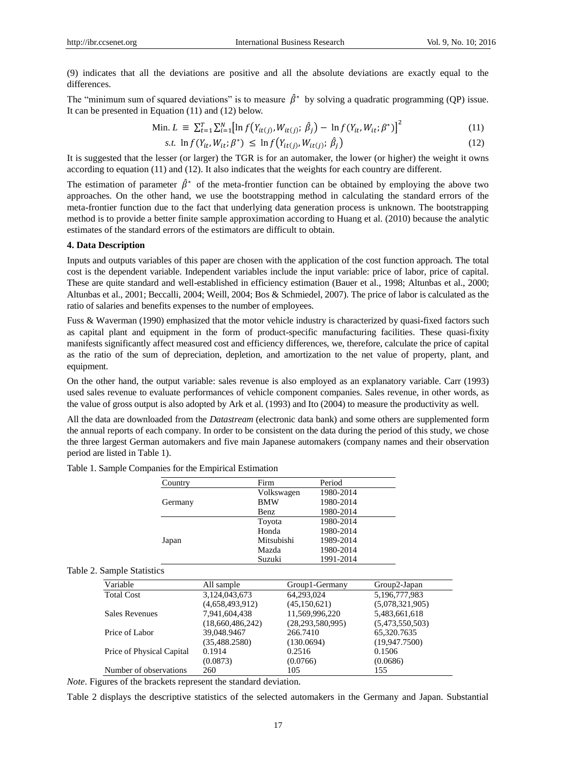(9) indicates that all the deviations are positive and all the absolute deviations are exactly equal to the differences.

The "minimum sum of squared deviations" is to measure  $\hat{\beta}^*$  by solving a quadratic programming (QP) issue. It can be presented in Equation (11) and (12) below.

Min. 
$$
L \equiv \sum_{t=1}^{T} \sum_{i=1}^{N} [\ln f(Y_{it(j)}, W_{it(j)}; \hat{\beta}_j) - \ln f(Y_{it}, W_{it}; \beta^*)]^2
$$
 (11)

$$
s.t. \ln f(Y_{it}, W_{it}; \beta^*) \le \ln f(Y_{it(j)}, W_{it(j)}; \hat{\beta}_j)
$$
\n(12)

It is suggested that the lesser (or larger) the TGR is for an automaker, the lower (or higher) the weight it owns according to equation (11) and (12). It also indicates that the weights for each country are different.

The estimation of parameter  $\hat{\beta}^*$  of the meta-frontier function can be obtained by employing the above two approaches. On the other hand, we use the bootstrapping method in calculating the standard errors of the meta-frontier function due to the fact that underlying data generation process is unknown. The bootstrapping method is to provide a better finite sample approximation according to Huang et al. (2010) because the analytic estimates of the standard errors of the estimators are difficult to obtain.

#### **4. Data Description**

Inputs and outputs variables of this paper are chosen with the application of the cost function approach. The total cost is the dependent variable. Independent variables include the input variable: price of labor, price of capital. These are quite standard and well-established in efficiency estimation (Bauer et al., 1998; Altunbas et al., 2000; Altunbas et al., 2001; Beccalli, 2004; Weill, 2004; Bos & Schmiedel, 2007). The price of labor is calculated as the ratio of salaries and benefits expenses to the number of employees.

Fuss & Waverman (1990) emphasized that the motor vehicle industry is characterized by quasi-fixed factors such as capital plant and equipment in the form of product-specific manufacturing facilities. These quasi-fixity manifests significantly affect measured cost and efficiency differences, we, therefore, calculate the price of capital as the ratio of the sum of depreciation, depletion, and amortization to the net value of property, plant, and equipment.

On the other hand, the output variable: sales revenue is also employed as an explanatory variable. Carr (1993) used sales revenue to evaluate performances of vehicle component companies. Sales revenue, in other words, as the value of gross output is also adopted by Ark et al. (1993) and Ito (2004) to measure the productivity as well.

All the data are downloaded from the *Datastream* (electronic data bank) and some others are supplemented form the annual reports of each company. In order to be consistent on the data during the period of this study, we chose the three largest German automakers and five main Japanese automakers (company names and their observation period are listed in Table 1).

| Country | Firm       | Period    |
|---------|------------|-----------|
|         | Volkswagen | 1980-2014 |
| Germany | <b>BMW</b> | 1980-2014 |
|         | Benz       | 1980-2014 |
|         | Toyota     | 1980-2014 |
|         | Honda      | 1980-2014 |
| Japan   | Mitsubishi | 1989-2014 |
|         | Mazda      | 1980-2014 |
|         | Suzuki     | 1991-2014 |

Table 1. Sample Companies for the Empirical Estimation

Table 2. Sample Statistics

| Variable                  | All sample       | Group1-Germany      | Group2-Japan    |
|---------------------------|------------------|---------------------|-----------------|
| <b>Total Cost</b>         | 3,124,043,673    | 64,293,024          | 5,196,777,983   |
|                           | (4,658,493,912)  | (45, 150, 621)      | (5,078,321,905) |
| <b>Sales Revenues</b>     | 7,941,604,438    | 11,569,996,220      | 5,483,661,618   |
|                           | (18,660,486,242) | (28, 293, 580, 995) | (5,473,550,503) |
| Price of Labor            | 39,048.9467      | 266.7410            | 65,320.7635     |
|                           | (35, 488.2580)   | (130.0694)          | (19,947.7500)   |
| Price of Physical Capital | 0.1914           | 0.2516              | 0.1506          |
|                           | (0.0873)         | (0.0766)            | (0.0686)        |
| Number of observations    | 260              | 105                 | 155             |

*Note*. Figures of the brackets represent the standard deviation.

Table 2 displays the descriptive statistics of the selected automakers in the Germany and Japan. Substantial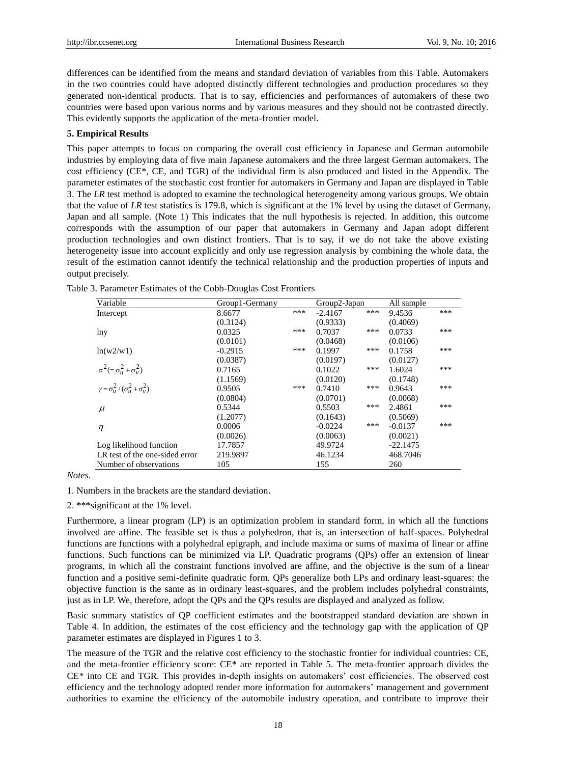differences can be identified from the means and standard deviation of variables from this Table. Automakers in the two countries could have adopted distinctly different technologies and production procedures so they generated non-identical products. That is to say, efficiencies and performances of automakers of these two countries were based upon various norms and by various measures and they should not be contrasted directly. This evidently supports the application of the meta-frontier model.

### **5. Empirical Results**

This paper attempts to focus on comparing the overall cost efficiency in Japanese and German automobile industries by employing data of five main Japanese automakers and the three largest German automakers. The cost efficiency (CE\*, CE, and TGR) of the individual firm is also produced and listed in the Appendix. The parameter estimates of the stochastic cost frontier for automakers in Germany and Japan are displayed in Table 3. The *LR* test method is adopted to examine the technological heterogeneity among various groups. We obtain that the value of *LR* test statistics is 179.8, which is significant at the 1% level by using the dataset of Germany, Japan and all sample. (Note 1) This indicates that the null hypothesis is rejected. In addition, this outcome corresponds with the assumption of our paper that automakers in Germany and Japan adopt different production technologies and own distinct frontiers. That is to say, if we do not take the above existing heterogeneity issue into account explicitly and only use regression analysis by combining the whole data, the result of the estimation cannot identify the technical relationship and the production properties of inputs and output precisely.

| Variable                                          | Group1-Germany |     | Group2-Japan |     | All sample |     |
|---------------------------------------------------|----------------|-----|--------------|-----|------------|-----|
| Intercept                                         | 8.6677         | *** | $-2.4167$    | *** | 9.4536     | *** |
|                                                   | (0.3124)       |     | (0.9333)     |     | (0.4069)   |     |
| lny                                               | 0.0325         | *** | 0.7037       | *** | 0.0733     | *** |
|                                                   | (0.0101)       |     | (0.0468)     |     | (0.0106)   |     |
| ln(w2/w1)                                         | $-0.2915$      | *** | 0.1997       | *** | 0.1758     | *** |
|                                                   | (0.0387)       |     | (0.0197)     |     | (0.0127)   |     |
| $\sigma^2$ $(=\sigma_u^2 + \sigma_v^2)$           | 0.7165         |     | 0.1022       | *** | 1.6024     | *** |
|                                                   | (1.1569)       |     | (0.0120)     |     | (0.1748)   |     |
| $\gamma = \sigma_u^2 / (\sigma_u^2 + \sigma_v^2)$ | 0.9505         | *** | 0.7410       | *** | 0.9643     | *** |
|                                                   | (0.0804)       |     | (0.0701)     |     | (0.0068)   |     |
| $\mu$                                             | 0.5344         |     | 0.5503       | *** | 2.4861     | *** |
|                                                   | (1.2077)       |     | (0.1643)     |     | (0.5069)   |     |
| $\eta$                                            | 0.0006         |     | $-0.0224$    | *** | $-0.0137$  | *** |
|                                                   | (0.0026)       |     | (0.0063)     |     | (0.0021)   |     |
| Log likelihood function                           | 17.7857        |     | 49.9724      |     | $-22.1475$ |     |
| LR test of the one-sided error                    | 219.9897       |     | 46.1234      |     | 468.7046   |     |
| Number of observations                            | 105            |     | 155          |     | 260        |     |

Table 3. Parameter Estimates of the Cobb-Douglas Cost Frontiers

*Notes*.

1. Numbers in the brackets are the standard deviation.

2. \*\*\*significant at the 1% level.

Furthermore, a linear program (LP) is an optimization problem in standard form, in which all the functions involved are affine. The feasible set is thus a polyhedron, that is, an intersection of half-spaces. Polyhedral functions are functions with a polyhedral epigraph, and include maxima or sums of maxima of linear or affine functions. Such functions can be minimized via LP. Quadratic programs (QPs) offer an extension of linear programs, in which all the constraint functions involved are affine, and the objective is the sum of a linear function and a positive semi-definite quadratic form. QPs generalize both LPs and ordinary least-squares: the objective function is the same as in ordinary least-squares, and the problem includes polyhedral constraints, just as in LP. We, therefore, adopt the QPs and the QPs results are displayed and analyzed as follow.

Basic summary statistics of QP coefficient estimates and the bootstrapped standard deviation are shown in Table 4. In addition, the estimates of the cost efficiency and the technology gap with the application of QP parameter estimates are displayed in Figures 1 to 3.

The measure of the TGR and the relative cost efficiency to the stochastic frontier for individual countries: CE, and the meta-frontier efficiency score: CE\* are reported in Table 5. The meta-frontier approach divides the CE\* into CE and TGR. This provides in-depth insights on automakers" cost efficiencies. The observed cost efficiency and the technology adopted render more information for automakers" management and government authorities to examine the efficiency of the automobile industry operation, and contribute to improve their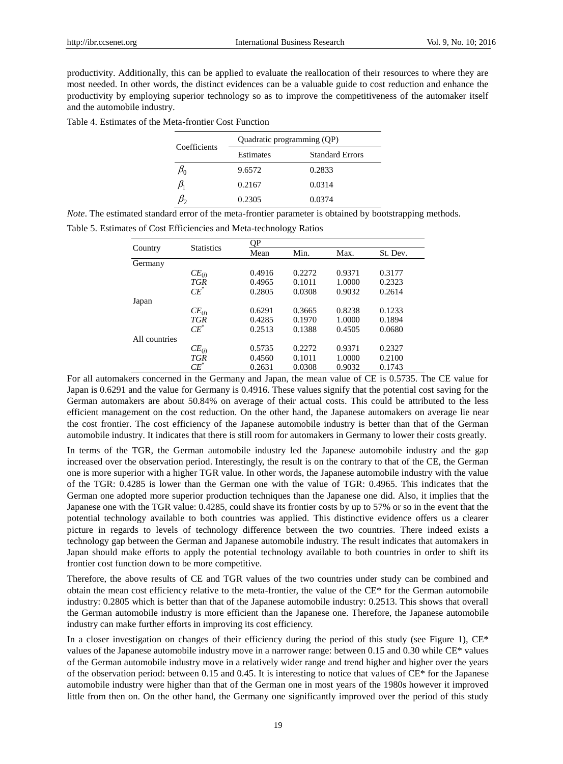productivity. Additionally, this can be applied to evaluate the reallocation of their resources to where they are most needed. In other words, the distinct evidences can be a valuable guide to cost reduction and enhance the productivity by employing superior technology so as to improve the competitiveness of the automaker itself and the automobile industry.

Table 4. Estimates of the Meta-frontier Cost Function

| Coefficients | Quadratic programming (QP) |                        |  |  |
|--------------|----------------------------|------------------------|--|--|
|              | Estimates                  | <b>Standard Errors</b> |  |  |
| Űη           | 9.6572                     | 0.2833                 |  |  |
| Ø1           | 0.2167                     | 0.0314                 |  |  |
|              | 0.2305                     | 0.0374                 |  |  |

*Note*. The estimated standard error of the meta-frontier parameter is obtained by bootstrapping methods. Table 5. Estimates of Cost Efficiencies and Meta-technology Ratios

| Country       |                   |        | QP     |        |          |  |  |  |
|---------------|-------------------|--------|--------|--------|----------|--|--|--|
|               | <b>Statistics</b> | Mean   | Min.   | Max.   | St. Dev. |  |  |  |
| Germany       |                   |        |        |        |          |  |  |  |
|               | $CE_{(i)}$        | 0.4916 | 0.2272 | 0.9371 | 0.3177   |  |  |  |
|               | <b>TGR</b>        | 0.4965 | 0.1011 | 1.0000 | 0.2323   |  |  |  |
|               | $CE^*$            | 0.2805 | 0.0308 | 0.9032 | 0.2614   |  |  |  |
| Japan         |                   |        |        |        |          |  |  |  |
|               | $CE_{(i)}$        | 0.6291 | 0.3665 | 0.8238 | 0.1233   |  |  |  |
|               | <b>TGR</b>        | 0.4285 | 0.1970 | 1.0000 | 0.1894   |  |  |  |
|               | $CE^*$            | 0.2513 | 0.1388 | 0.4505 | 0.0680   |  |  |  |
| All countries |                   |        |        |        |          |  |  |  |
|               | $CE_{(i)}$        | 0.5735 | 0.2272 | 0.9371 | 0.2327   |  |  |  |
|               | <b>TGR</b>        | 0.4560 | 0.1011 | 1.0000 | 0.2100   |  |  |  |
|               | $CE^*$            | 0.2631 | 0.0308 | 0.9032 | 0.1743   |  |  |  |

For all automakers concerned in the Germany and Japan, the mean value of CE is 0.5735. The CE value for Japan is 0.6291 and the value for Germany is 0.4916. These values signify that the potential cost saving for the German automakers are about 50.84% on average of their actual costs. This could be attributed to the less efficient management on the cost reduction. On the other hand, the Japanese automakers on average lie near the cost frontier. The cost efficiency of the Japanese automobile industry is better than that of the German automobile industry. It indicates that there is still room for automakers in Germany to lower their costs greatly.

In terms of the TGR, the German automobile industry led the Japanese automobile industry and the gap increased over the observation period. Interestingly, the result is on the contrary to that of the CE, the German one is more superior with a higher TGR value. In other words, the Japanese automobile industry with the value of the TGR: 0.4285 is lower than the German one with the value of TGR: 0.4965. This indicates that the German one adopted more superior production techniques than the Japanese one did. Also, it implies that the Japanese one with the TGR value: 0.4285, could shave its frontier costs by up to 57% or so in the event that the potential technology available to both countries was applied. This distinctive evidence offers us a clearer picture in regards to levels of technology difference between the two countries. There indeed exists a technology gap between the German and Japanese automobile industry. The result indicates that automakers in Japan should make efforts to apply the potential technology available to both countries in order to shift its frontier cost function down to be more competitive.

Therefore, the above results of CE and TGR values of the two countries under study can be combined and obtain the mean cost efficiency relative to the meta-frontier, the value of the CE\* for the German automobile industry: 0.2805 which is better than that of the Japanese automobile industry: 0.2513. This shows that overall the German automobile industry is more efficient than the Japanese one. Therefore, the Japanese automobile industry can make further efforts in improving its cost efficiency.

In a closer investigation on changes of their efficiency during the period of this study (see Figure 1),  $CE^*$ values of the Japanese automobile industry move in a narrower range: between 0.15 and 0.30 while CE\* values of the German automobile industry move in a relatively wider range and trend higher and higher over the years of the observation period: between 0.15 and 0.45. It is interesting to notice that values of CE\* for the Japanese automobile industry were higher than that of the German one in most years of the 1980s however it improved little from then on. On the other hand, the Germany one significantly improved over the period of this study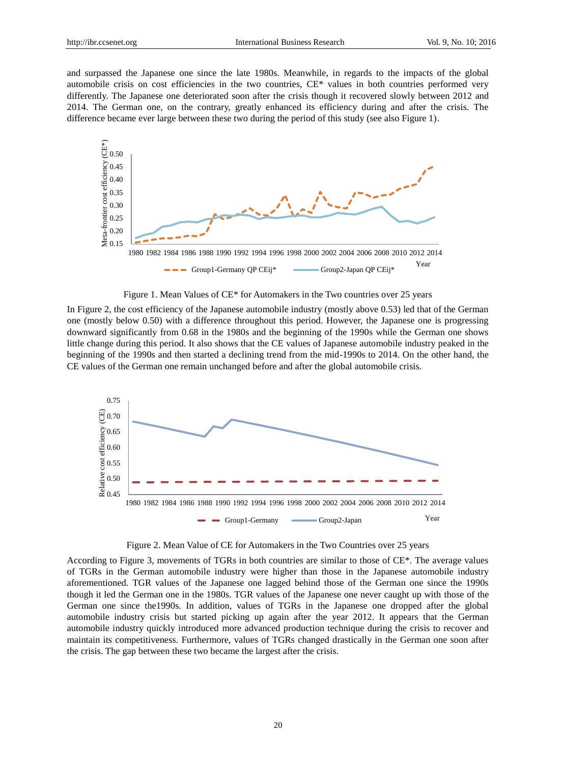and surpassed the Japanese one since the late 1980s. Meanwhile, in regards to the impacts of the global automobile crisis on cost efficiencies in the two countries, CE\* values in both countries performed very differently. The Japanese one deteriorated soon after the crisis though it recovered slowly between 2012 and 2014. The German one, on the contrary, greatly enhanced its efficiency during and after the crisis. The difference became ever large between these two during the period of this study (see also Figure 1).



Figure 1. Mean Values of CE\* for Automakers in the Two countries over 25 years

In Figure 2, the cost efficiency of the Japanese automobile industry (mostly above 0.53) led that of the German one (mostly below 0.50) with a difference throughout this period. However, the Japanese one is progressing downward significantly from 0.68 in the 1980s and the beginning of the 1990s while the German one shows little change during this period. It also shows that the CE values of Japanese automobile industry peaked in the beginning of the 1990s and then started a declining trend from the mid-1990s to 2014. On the other hand, the CE values of the German one remain unchanged before and after the global automobile crisis.



Figure 2. Mean Value of CE for Automakers in the Two Countries over 25 years

According to Figure 3, movements of TGRs in both countries are similar to those of CE\*. The average values of TGRs in the German automobile industry were higher than those in the Japanese automobile industry aforementioned. TGR values of the Japanese one lagged behind those of the German one since the 1990s though it led the German one in the 1980s. TGR values of the Japanese one never caught up with those of the German one since the1990s. In addition, values of TGRs in the Japanese one dropped after the global automobile industry crisis but started picking up again after the year 2012. It appears that the German automobile industry quickly introduced more advanced production technique during the crisis to recover and maintain its competitiveness. Furthermore, values of TGRs changed drastically in the German one soon after the crisis. The gap between these two became the largest after the crisis.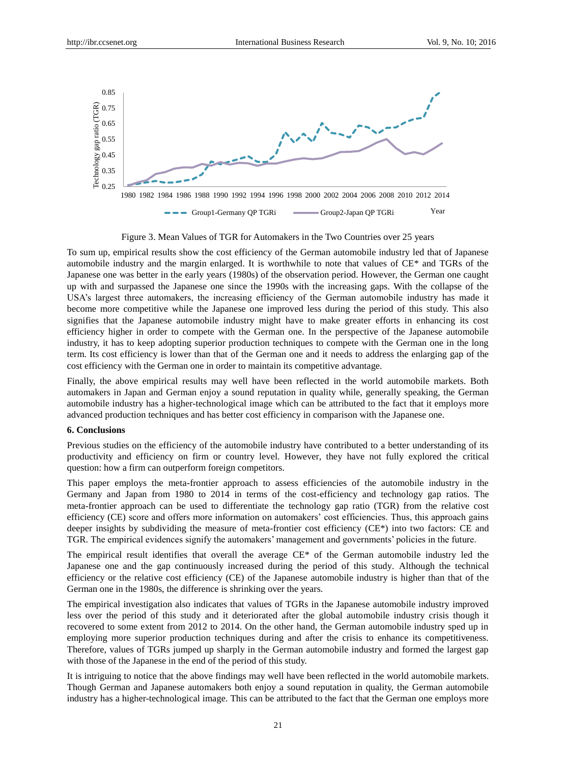

Figure 3. Mean Values of TGR for Automakers in the Two Countries over 25 years

To sum up, empirical results show the cost efficiency of the German automobile industry led that of Japanese automobile industry and the margin enlarged. It is worthwhile to note that values of CE\* and TGRs of the Japanese one was better in the early years (1980s) of the observation period. However, the German one caught up with and surpassed the Japanese one since the 1990s with the increasing gaps. With the collapse of the USA"s largest three automakers, the increasing efficiency of the German automobile industry has made it become more competitive while the Japanese one improved less during the period of this study. This also signifies that the Japanese automobile industry might have to make greater efforts in enhancing its cost efficiency higher in order to compete with the German one. In the perspective of the Japanese automobile industry, it has to keep adopting superior production techniques to compete with the German one in the long term. Its cost efficiency is lower than that of the German one and it needs to address the enlarging gap of the cost efficiency with the German one in order to maintain its competitive advantage.

Finally, the above empirical results may well have been reflected in the world automobile markets. Both automakers in Japan and German enjoy a sound reputation in quality while, generally speaking, the German automobile industry has a higher-technological image which can be attributed to the fact that it employs more advanced production techniques and has better cost efficiency in comparison with the Japanese one.

#### **6. Conclusions**

Previous studies on the efficiency of the automobile industry have contributed to a better understanding of its productivity and efficiency on firm or country level. However, they have not fully explored the critical question: how a firm can outperform foreign competitors.

This paper employs the meta-frontier approach to assess efficiencies of the automobile industry in the Germany and Japan from 1980 to 2014 in terms of the cost-efficiency and technology gap ratios. The meta-frontier approach can be used to differentiate the technology gap ratio (TGR) from the relative cost efficiency (CE) score and offers more information on automakers" cost efficiencies. Thus, this approach gains deeper insights by subdividing the measure of meta-frontier cost efficiency (CE\*) into two factors: CE and TGR. The empirical evidences signify the automakers" management and governments" policies in the future.

The empirical result identifies that overall the average CE\* of the German automobile industry led the Japanese one and the gap continuously increased during the period of this study. Although the technical efficiency or the relative cost efficiency (CE) of the Japanese automobile industry is higher than that of the German one in the 1980s, the difference is shrinking over the years.

The empirical investigation also indicates that values of TGRs in the Japanese automobile industry improved less over the period of this study and it deteriorated after the global automobile industry crisis though it recovered to some extent from 2012 to 2014. On the other hand, the German automobile industry sped up in employing more superior production techniques during and after the crisis to enhance its competitiveness. Therefore, values of TGRs jumped up sharply in the German automobile industry and formed the largest gap with those of the Japanese in the end of the period of this study.

It is intriguing to notice that the above findings may well have been reflected in the world automobile markets. Though German and Japanese automakers both enjoy a sound reputation in quality, the German automobile industry has a higher-technological image. This can be attributed to the fact that the German one employs more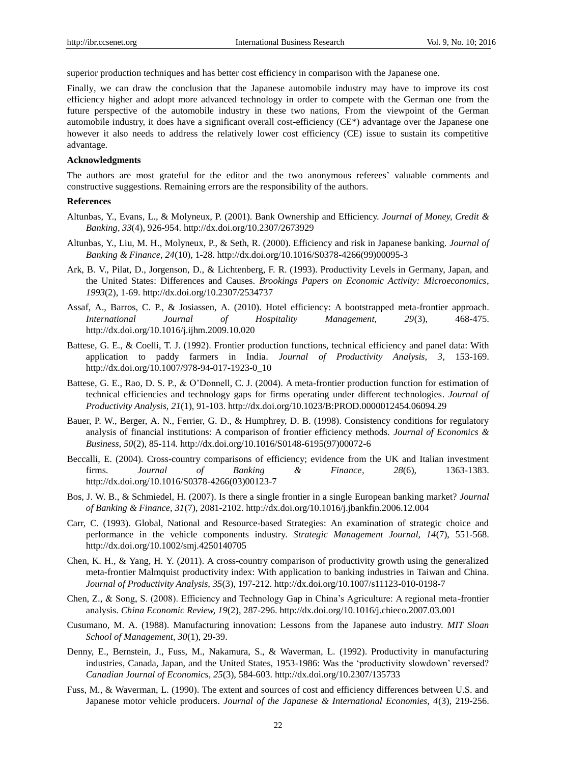superior production techniques and has better cost efficiency in comparison with the Japanese one.

Finally, we can draw the conclusion that the Japanese automobile industry may have to improve its cost efficiency higher and adopt more advanced technology in order to compete with the German one from the future perspective of the automobile industry in these two nations, From the viewpoint of the German automobile industry, it does have a significant overall cost-efficiency (CE\*) advantage over the Japanese one however it also needs to address the relatively lower cost efficiency (CE) issue to sustain its competitive advantage.

#### **Acknowledgments**

The authors are most grateful for the editor and the two anonymous referees' valuable comments and constructive suggestions. Remaining errors are the responsibility of the authors.

#### **References**

- Altunbas, Y., Evans, L., & Molyneux, P. (2001). Bank Ownership and Efficiency. *Journal of Money, Credit & Banking, 33*(4), 926-954. http://dx.doi.org/10.2307/2673929
- Altunbas, Y., Liu, M. H., Molyneux, P., & Seth, R. (2000). Efficiency and risk in Japanese banking. *Journal of Banking & Finance, 24*(10), 1-28. http://dx.doi.org/10.1016/S0378-4266(99)00095-3
- Ark, B. V., Pilat, D., Jorgenson, D., & Lichtenberg, F. R. (1993). Productivity Levels in Germany, Japan, and the United States: Differences and Causes. *Brookings Papers on Economic Activity: Microeconomics, 1993*(2), 1-69. http://dx.doi.org/10.2307/2534737
- Assaf, A., Barros, C. P., & Josiassen, A. (2010). Hotel efficiency: A bootstrapped meta-frontier approach. *International Journal of Hospitality Management, 29*(3), 468-475. http://dx.doi.org/10.1016/j.ijhm.2009.10.020
- Battese, G. E., & Coelli, T. J. (1992). Frontier production functions, technical efficiency and panel data: With application to paddy farmers in India. *Journal of Productivity Analysis, 3*, 153-169. http://dx.doi.org/10.1007/978-94-017-1923-0\_10
- Battese, G. E., Rao, D. S. P., & O"Donnell, C. J. (2004). A meta-frontier production function for estimation of technical efficiencies and technology gaps for firms operating under different technologies. *Journal of Productivity Analysis, 21*(1), 91-103. http://dx.doi.org/10.1023/B:PROD.0000012454.06094.29
- Bauer, P. W., Berger, A. N., Ferrier, G. D., & Humphrey, D. B. (1998). Consistency conditions for regulatory analysis of financial institutions: A comparison of frontier efficiency methods. *Journal of Economics & Business, 50*(2), 85-114. http://dx.doi.org/10.1016/S0148-6195(97)00072-6
- Beccalli, E. (2004). Cross-country comparisons of efficiency; evidence from the UK and Italian investment firms. *Journal of Banking & Finance, 28*(6), 1363-1383. http://dx.doi.org/10.1016/S0378-4266(03)00123-7
- Bos, J. W. B., & Schmiedel, H. (2007). Is there a single frontier in a single European banking market? *Journal of Banking & Finance, 31*(7), 2081-2102. http://dx.doi.org/10.1016/j.jbankfin.2006.12.004
- Carr, C. (1993). Global, National and Resource-based Strategies: An examination of strategic choice and performance in the vehicle components industry. *Strategic Management Journal, 14*(7), 551-568. http://dx.doi.org/10.1002/smj.4250140705
- Chen, K. H., & Yang, H. Y. (2011). A cross-country comparison of productivity growth using the generalized meta-frontier Malmquist productivity index: With application to banking industries in Taiwan and China. *Journal of Productivity Analysis, 35*(3), 197-212. http://dx.doi.org/10.1007/s11123-010-0198-7
- Chen, Z., & Song, S. (2008). Efficiency and Technology Gap in China"s Agriculture: A regional meta-frontier analysis. *China Economic Review, 19*(2), 287-296. http://dx.doi.org/10.1016/j.chieco.2007.03.001
- Cusumano, M. A. (1988). Manufacturing innovation: Lessons from the Japanese auto industry. *MIT Sloan School of Management, 30*(1), 29-39.
- Denny, E., Bernstein, J., Fuss, M., Nakamura, S., & Waverman, L. (1992). Productivity in manufacturing industries, Canada, Japan, and the United States, 1953-1986: Was the "productivity slowdown" reversed? *Canadian Journal of Economics, 25*(3), 584-603. http://dx.doi.org/10.2307/135733
- Fuss, M., & Waverman, L. (1990). The extent and sources of cost and efficiency differences between U.S. and Japanese motor vehicle producers. *Journal of the Japanese & International Economies, 4*(3), 219-256.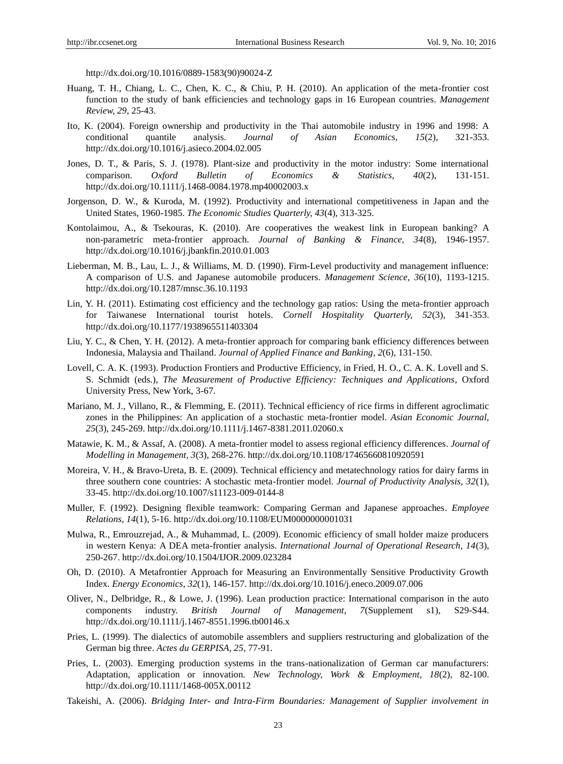http://dx.doi.org/10.1016/0889-1583(90)90024-Z

- Huang, T. H., Chiang, L. C., Chen, K. C., & Chiu, P. H. (2010). An application of the meta-frontier cost function to the study of bank efficiencies and technology gaps in 16 European countries. *Management Review, 29*, 25-43.
- Ito, K. (2004). Foreign ownership and productivity in the Thai automobile industry in 1996 and 1998: A conditional quantile analysis. *Journal of Asian Economics, 15*(2), 321-353. http://dx.doi.org/10.1016/j.asieco.2004.02.005
- Jones, D. T., & Paris, S. J. (1978). Plant-size and productivity in the motor industry: Some international comparison. *Oxford Bulletin of Economics & Statistics, 40*(2), 131-151. http://dx.doi.org/10.1111/j.1468-0084.1978.mp40002003.x
- Jorgenson, D. W., & Kuroda, M. (1992). Productivity and international competitiveness in Japan and the United States, 1960-1985. *The Economic Studies Quarterly, 43*(4), 313-325.
- Kontolaimou, A., & Tsekouras, K. (2010). Are cooperatives the weakest link in European banking? A non-parametric meta-frontier approach. *Journal of Banking & Finance, 34*(8), 1946-1957. http://dx.doi.org/10.1016/j.jbankfin.2010.01.003
- Lieberman, M. B., Lau, L. J., & Williams, M. D. (1990). Firm-Level productivity and management influence: A comparison of U.S. and Japanese automobile producers. *Management Science, 36*(10), 1193-1215. http://dx.doi.org/10.1287/mnsc.36.10.1193
- Lin, Y. H. (2011). Estimating cost efficiency and the technology gap ratios: Using the meta-frontier approach for Taiwanese International tourist hotels. *Cornell Hospitality Quarterly, 52*(3), 341-353. http://dx.doi.org/10.1177/1938965511403304
- Liu, Y. C., & Chen, Y. H. (2012). A meta-frontier approach for comparing bank efficiency differences between Indonesia, Malaysia and Thailand. *Journal of Applied Finance and Banking*, *2*(6), 131-150.
- Lovell, C. A. K. (1993). Production Frontiers and Productive Efficiency, in Fried, H. O., C. A. K. Lovell and S. S. Schmidt (eds.), *The Measurement of Productive Efficiency: Techniques and Applications*, Oxford University Press, New York, 3-67.
- Mariano, M. J., Villano, R., & Flemming, E. (2011). Technical efficiency of rice firms in different agroclimatic zones in the Philippines: An application of a stochastic meta-frontier model. *Asian Economic Journal, 25*(3), 245-269. http://dx.doi.org/10.1111/j.1467-8381.2011.02060.x
- Matawie, K. M., & Assaf, A. (2008). A meta-frontier model to assess regional efficiency differences. *Journal of Modelling in Management, 3*(3), 268-276. http://dx.doi.org/10.1108/17465660810920591
- Moreira, V. H., & Bravo-Ureta, B. E. (2009). Technical efficiency and metatechnology ratios for dairy farms in three southern cone countries: A stochastic meta-frontier model. *Journal of Productivity Analysis, 32*(1), 33-45. http://dx.doi.org/10.1007/s11123-009-0144-8
- Muller, F. (1992). Designing flexible teamwork: Comparing German and Japanese approaches. *Employee Relations, 14*(1), 5-16. http://dx.doi.org/10.1108/EUM0000000001031
- Mulwa, R., Emrouzrejad, A., & Muhammad, L. (2009). Economic efficiency of small holder maize producers in western Kenya: A DEA meta-frontier analysis. *International Journal of Operational Research, 14*(3), 250-267. http://dx.doi.org/10.1504/IJOR.2009.023284
- Oh, D. (2010). A Metafrontier Approach for Measuring an Environmentally Sensitive Productivity Growth Index. *Energy Economics, 32*(1), 146-157. http://dx.doi.org/10.1016/j.eneco.2009.07.006
- Oliver, N., Delbridge, R., & Lowe, J. (1996). Lean production practice: International comparison in the auto components industry. *British Journal of Management, 7*(Supplement s1), S29-S44. http://dx.doi.org/10.1111/j.1467-8551.1996.tb00146.x
- Pries, L. (1999). The dialectics of automobile assemblers and suppliers restructuring and globalization of the German big three. *Actes du GERPISA, 25*, 77-91.
- Pries, L. (2003). Emerging production systems in the trans-nationalization of German car manufacturers: Adaptation, application or innovation. *New Technology, Work & Employment, 18*(2), 82-100. http://dx.doi.org/10.1111/1468-005X.00112
- Takeishi, A. (2006). *Bridging Inter- and Intra-Firm Boundaries: Management of Supplier involvement in*